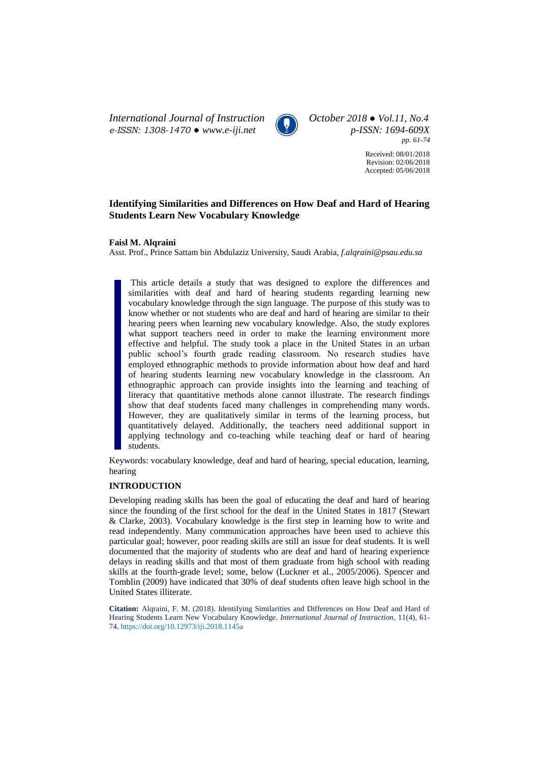*International Journal of Instruction October 2018 ● Vol.11, No.4 e-ISSN: 1308-1470 ● [www.e-iji.net](http://www.e-iji.net/) p-ISSN: 1694-609X*



*pp. 61-74*

Received: 08/01/2018 Revision: 02/06/2018 Accepted: 05/06/2018

# **Identifying Similarities and Differences on How Deaf and Hard of Hearing Students Learn New Vocabulary Knowledge**

**Faisl M. Alqraini**

Asst. Prof., Prince Sattam bin Abdulaziz University, Saudi Arabia, *f.alqraini@psau.edu.sa*

This article details a study that was designed to explore the differences and similarities with deaf and hard of hearing students regarding learning new vocabulary knowledge through the sign language. The purpose of this study was to know whether or not students who are deaf and hard of hearing are similar to their hearing peers when learning new vocabulary knowledge. Also, the study explores what support teachers need in order to make the learning environment more effective and helpful. The study took a place in the United States in an urban public school's fourth grade reading classroom. No research studies have employed ethnographic methods to provide information about how deaf and hard of hearing students learning new vocabulary knowledge in the classroom. An ethnographic approach can provide insights into the learning and teaching of literacy that quantitative methods alone cannot illustrate. The research findings show that deaf students faced many challenges in comprehending many words. However, they are qualitatively similar in terms of the learning process, but quantitatively delayed. Additionally, the teachers need additional support in applying technology and co-teaching while teaching deaf or hard of hearing students.

Keywords: vocabulary knowledge, deaf and hard of hearing, special education, learning, hearing

# **INTRODUCTION**

Developing reading skills has been the goal of educating the deaf and hard of hearing since the founding of the first school for the deaf in the United States in 1817 (Stewart & Clarke, 2003). Vocabulary knowledge is the first step in learning how to write and read independently. Many communication approaches have been used to achieve this particular goal; however, poor reading skills are still an issue for deaf students. It is well documented that the majority of students who are deaf and hard of hearing experience delays in reading skills and that most of them graduate from high school with reading skills at the fourth-grade level; some, below (Luckner et al., 2005/2006). Spencer and Tomblin (2009) have indicated that 30% of deaf students often leave high school in the United States illiterate.

**Citation:** Alqraini, F. M. (2018). Identifying Similarities and Differences on How Deaf and Hard of Hearing Students Learn New Vocabulary Knowledge. *International Journal of Instruction*, 11(4), 61- 74. <https://doi.org/10.12973/iji.2018.1145a>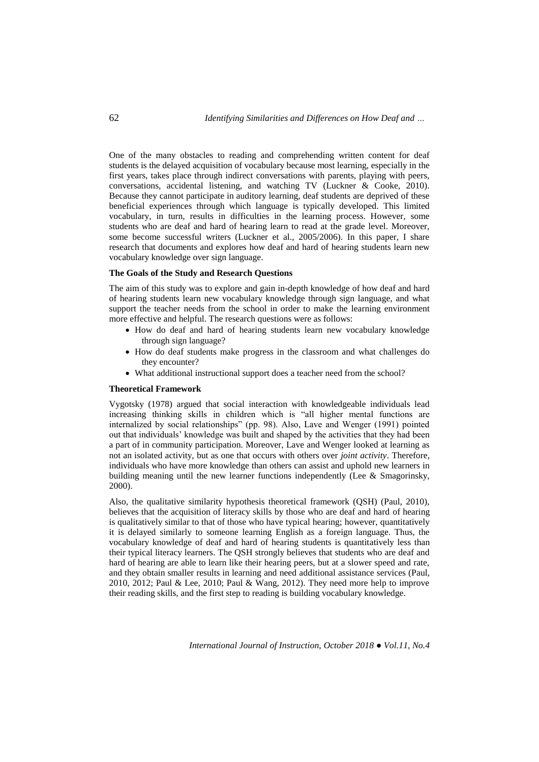One of the many obstacles to reading and comprehending written content for deaf students is the delayed acquisition of vocabulary because most learning, especially in the first years, takes place through indirect conversations with parents, playing with peers, conversations, accidental listening, and watching TV (Luckner & Cooke, 2010). Because they cannot participate in auditory learning, deaf students are deprived of these beneficial experiences through which language is typically developed. This limited vocabulary, in turn, results in difficulties in the learning process. However, some students who are deaf and hard of hearing learn to read at the grade level. Moreover, some become successful writers (Luckner et al., 2005/2006). In this paper, I share research that documents and explores how deaf and hard of hearing students learn new vocabulary knowledge over sign language.

### **The Goals of the Study and Research Questions**

The aim of this study was to explore and gain in-depth knowledge of how deaf and hard of hearing students learn new vocabulary knowledge through sign language, and what support the teacher needs from the school in order to make the learning environment more effective and helpful. The research questions were as follows:

- How do deaf and hard of hearing students learn new vocabulary knowledge through sign language?
- How do deaf students make progress in the classroom and what challenges do they encounter?
- What additional instructional support does a teacher need from the school?

### **Theoretical Framework**

Vygotsky (1978) argued that social interaction with knowledgeable individuals lead increasing thinking skills in children which is "all higher mental functions are internalized by social relationships" (pp. 98). Also, Lave and Wenger (1991) pointed out that individuals' knowledge was built and shaped by the activities that they had been a part of in community participation. Moreover, Lave and Wenger looked at learning as not an isolated activity, but as one that occurs with others over *joint activity*. Therefore, individuals who have more knowledge than others can assist and uphold new learners in building meaning until the new learner functions independently (Lee & Smagorinsky, 2000).

Also, the qualitative similarity hypothesis theoretical framework (QSH) (Paul, 2010), believes that the acquisition of literacy skills by those who are deaf and hard of hearing is qualitatively similar to that of those who have typical hearing; however, quantitatively it is delayed similarly to someone learning English as a foreign language. Thus, the vocabulary knowledge of deaf and hard of hearing students is quantitatively less than their typical literacy learners. The QSH strongly believes that students who are deaf and hard of hearing are able to learn like their hearing peers, but at a slower speed and rate, and they obtain smaller results in learning and need additional assistance services (Paul, 2010, 2012; Paul & Lee, 2010; Paul & Wang, 2012). They need more help to improve their reading skills, and the first step to reading is building vocabulary knowledge.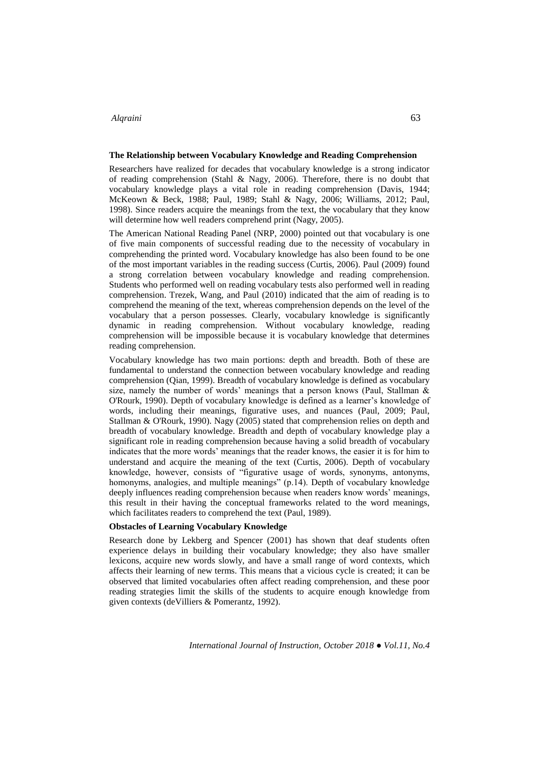### **The Relationship between Vocabulary Knowledge and Reading Comprehension**

Researchers have realized for decades that vocabulary knowledge is a strong indicator of reading comprehension (Stahl & Nagy, 2006). Therefore, there is no doubt that vocabulary knowledge plays a vital role in reading comprehension (Davis, 1944; McKeown & Beck, 1988; Paul, 1989; Stahl & Nagy, 2006; Williams, 2012; Paul, 1998). Since readers acquire the meanings from the text, the vocabulary that they know will determine how well readers comprehend print (Nagy, 2005).

The American National Reading Panel (NRP, 2000) pointed out that vocabulary is one of five main components of successful reading due to the necessity of vocabulary in comprehending the printed word. Vocabulary knowledge has also been found to be one of the most important variables in the reading success (Curtis, 2006). Paul (2009) found a strong correlation between vocabulary knowledge and reading comprehension. Students who performed well on reading vocabulary tests also performed well in reading comprehension. Trezek, Wang, and Paul (2010) indicated that the aim of reading is to comprehend the meaning of the text, whereas comprehension depends on the level of the vocabulary that a person possesses. Clearly, vocabulary knowledge is significantly dynamic in reading comprehension. Without vocabulary knowledge, reading comprehension will be impossible because it is vocabulary knowledge that determines reading comprehension.

Vocabulary knowledge has two main portions: depth and breadth. Both of these are fundamental to understand the connection between vocabulary knowledge and reading comprehension (Qian, 1999). Breadth of vocabulary knowledge is defined as vocabulary size, namely the number of words' meanings that a person knows (Paul, Stallman & O'Rourk, 1990). Depth of vocabulary knowledge is defined as a learner's knowledge of words, including their meanings, figurative uses, and nuances (Paul, 2009; Paul, Stallman & O'Rourk, 1990). Nagy (2005) stated that comprehension relies on depth and breadth of vocabulary knowledge. Breadth and depth of vocabulary knowledge play a significant role in reading comprehension because having a solid breadth of vocabulary indicates that the more words' meanings that the reader knows, the easier it is for him to understand and acquire the meaning of the text (Curtis, 2006). Depth of vocabulary knowledge, however, consists of "figurative usage of words, synonyms, antonyms, homonyms, analogies, and multiple meanings" (p.14). Depth of vocabulary knowledge deeply influences reading comprehension because when readers know words' meanings, this result in their having the conceptual frameworks related to the word meanings, which facilitates readers to comprehend the text (Paul, 1989).

#### **Obstacles of Learning Vocabulary Knowledge**

Research done by Lekberg and Spencer (2001) has shown that deaf students often experience delays in building their vocabulary knowledge; they also have smaller lexicons, acquire new words slowly, and have a small range of word contexts, which affects their learning of new terms. This means that a vicious cycle is created; it can be observed that limited vocabularies often affect reading comprehension, and these poor reading strategies limit the skills of the students to acquire enough knowledge from given contexts (deVilliers & Pomerantz, 1992).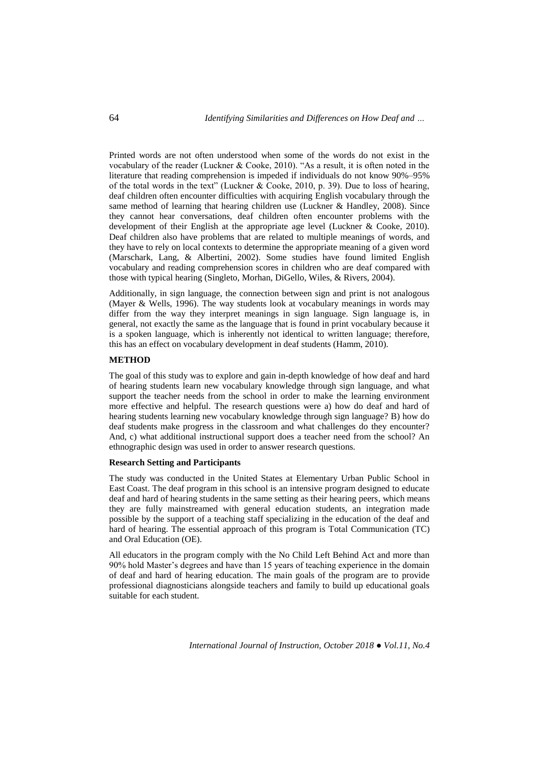Printed words are not often understood when some of the words do not exist in the vocabulary of the reader (Luckner & Cooke, 2010). "As a result, it is often noted in the literature that reading comprehension is impeded if individuals do not know 90%–95% of the total words in the text" (Luckner & Cooke, 2010, p. 39). Due to loss of hearing, deaf children often encounter difficulties with acquiring English vocabulary through the same method of learning that hearing children use (Luckner & Handley, 2008). Since they cannot hear conversations, deaf children often encounter problems with the development of their English at the appropriate age level (Luckner & Cooke, 2010). Deaf children also have problems that are related to multiple meanings of words, and they have to rely on local contexts to determine the appropriate meaning of a given word (Marschark, Lang, & Albertini, 2002). Some studies have found limited English vocabulary and reading comprehension scores in children who are deaf compared with those with typical hearing (Singleto, Morhan, DiGello, Wiles, & Rivers, 2004).

Additionally, in sign language, the connection between sign and print is not analogous (Mayer & Wells, 1996). The way students look at vocabulary meanings in words may differ from the way they interpret meanings in sign language. Sign language is, in general, not exactly the same as the language that is found in print vocabulary because it is a spoken language, which is inherently not identical to written language; therefore, this has an effect on vocabulary development in deaf students (Hamm, 2010).

#### **METHOD**

The goal of this study was to explore and gain in-depth knowledge of how deaf and hard of hearing students learn new vocabulary knowledge through sign language, and what support the teacher needs from the school in order to make the learning environment more effective and helpful. The research questions were a) how do deaf and hard of hearing students learning new vocabulary knowledge through sign language? B) how do deaf students make progress in the classroom and what challenges do they encounter? And, c) what additional instructional support does a teacher need from the school? An ethnographic design was used in order to answer research questions.

# **Research Setting and Participants**

The study was conducted in the United States at Elementary Urban Public School in East Coast. The deaf program in this school is an intensive program designed to educate deaf and hard of hearing students in the same setting as their hearing peers, which means they are fully mainstreamed with general education students, an integration made possible by the support of a teaching staff specializing in the education of the deaf and hard of hearing. The essential approach of this program is Total Communication (TC) and Oral Education (OE).

All educators in the program comply with the No Child Left Behind Act and more than 90% hold Master's degrees and have than 15 years of teaching experience in the domain of deaf and hard of hearing education. The main goals of the program are to provide professional diagnosticians alongside teachers and family to build up educational goals suitable for each student.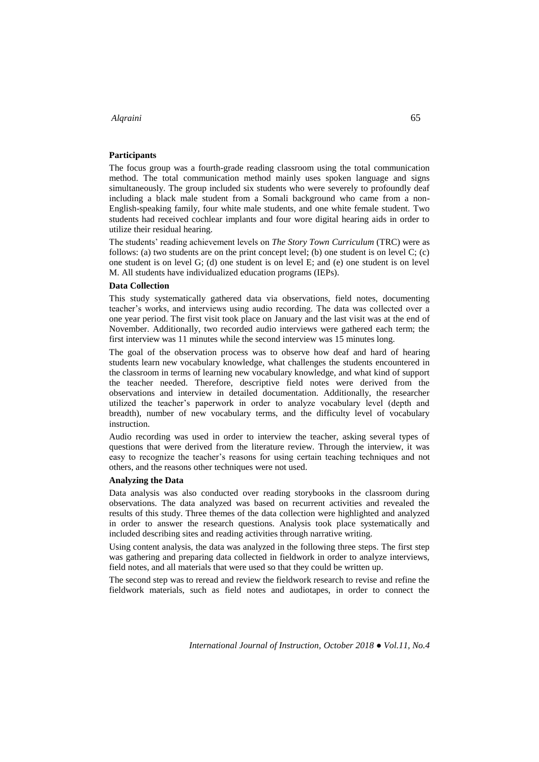# **Participants**

The focus group was a fourth-grade reading classroom using the total communication method. The total communication method mainly uses spoken language and signs simultaneously. The group included six students who were severely to profoundly deaf including a black male student from a Somali background who came from a non-English-speaking family, four white male students, and one white female student. Two students had received cochlear implants and four wore digital hearing aids in order to utilize their residual hearing.

The students' reading achievement levels on *The Story Town Curriculum* (TRC) were as follows: (a) two students are on the print concept level; (b) one student is on level  $C$ ; (c) one student is on level G; (d) one student is on level E; and (e) one student is on level M. All students have individualized education programs (IEPs).

#### **Data Collection**

This study systematically gathered data via observations, field notes, documenting teacher's works, and interviews using audio recording. The data was collected over a one year period. The first visit took place on January and the last visit was at the end of November. Additionally, two recorded audio interviews were gathered each term; the first interview was 11 minutes while the second interview was 15 minutes long.

The goal of the observation process was to observe how deaf and hard of hearing students learn new vocabulary knowledge, what challenges the students encountered in the classroom in terms of learning new vocabulary knowledge, and what kind of support the teacher needed. Therefore, descriptive field notes were derived from the observations and interview in detailed documentation. Additionally, the researcher utilized the teacher's paperwork in order to analyze vocabulary level (depth and breadth), number of new vocabulary terms, and the difficulty level of vocabulary instruction.

Audio recording was used in order to interview the teacher, asking several types of questions that were derived from the literature review. Through the interview, it was easy to recognize the teacher's reasons for using certain teaching techniques and not others, and the reasons other techniques were not used.

### **Analyzing the Data**

Data analysis was also conducted over reading storybooks in the classroom during observations. The data analyzed was based on recurrent activities and revealed the results of this study. Three themes of the data collection were highlighted and analyzed in order to answer the research questions. Analysis took place systematically and included describing sites and reading activities through narrative writing.

Using content analysis, the data was analyzed in the following three steps. The first step was gathering and preparing data collected in fieldwork in order to analyze interviews, field notes, and all materials that were used so that they could be written up.

The second step was to reread and review the fieldwork research to revise and refine the fieldwork materials, such as field notes and audiotapes, in order to connect the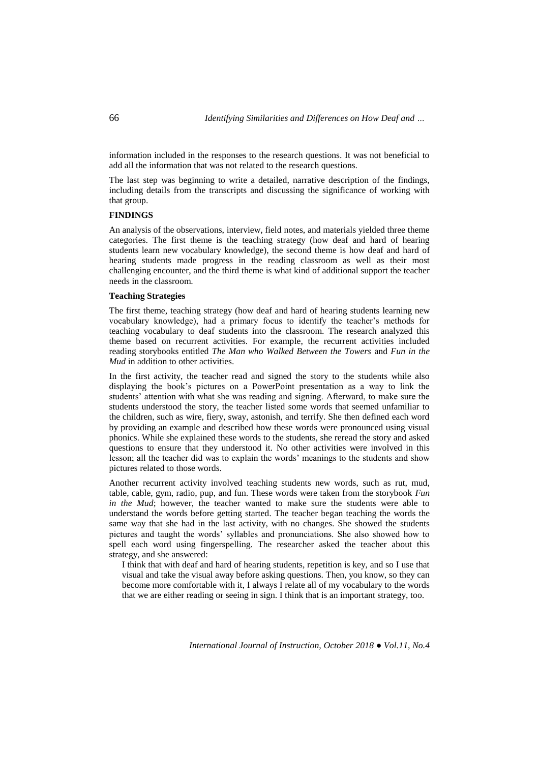information included in the responses to the research questions. It was not beneficial to add all the information that was not related to the research questions.

The last step was beginning to write a detailed, narrative description of the findings, including details from the transcripts and discussing the significance of working with that group.

### **FINDINGS**

An analysis of the observations, interview, field notes, and materials yielded three theme categories. The first theme is the teaching strategy (how deaf and hard of hearing students learn new vocabulary knowledge), the second theme is how deaf and hard of hearing students made progress in the reading classroom as well as their most challenging encounter, and the third theme is what kind of additional support the teacher needs in the classroom.

# **Teaching Strategies**

The first theme, teaching strategy (how deaf and hard of hearing students learning new vocabulary knowledge), had a primary focus to identify the teacher's methods for teaching vocabulary to deaf students into the classroom. The research analyzed this theme based on recurrent activities. For example, the recurrent activities included reading storybooks entitled *The Man who Walked Between the Towers* and *Fun in the Mud* in addition to other activities.

In the first activity, the teacher read and signed the story to the students while also displaying the book's pictures on a PowerPoint presentation as a way to link the students' attention with what she was reading and signing. Afterward, to make sure the students understood the story, the teacher listed some words that seemed unfamiliar to the children, such as wire, fiery, sway, astonish, and terrify. She then defined each word by providing an example and described how these words were pronounced using visual phonics. While she explained these words to the students, she reread the story and asked questions to ensure that they understood it. No other activities were involved in this lesson; all the teacher did was to explain the words' meanings to the students and show pictures related to those words.

Another recurrent activity involved teaching students new words, such as rut, mud, table, cable, gym, radio, pup, and fun. These words were taken from the storybook *Fun in the Mud*; however, the teacher wanted to make sure the students were able to understand the words before getting started. The teacher began teaching the words the same way that she had in the last activity, with no changes. She showed the students pictures and taught the words' syllables and pronunciations. She also showed how to spell each word using fingerspelling. The researcher asked the teacher about this strategy, and she answered:

I think that with deaf and hard of hearing students, repetition is key, and so I use that visual and take the visual away before asking questions. Then, you know, so they can become more comfortable with it, I always I relate all of my vocabulary to the words that we are either reading or seeing in sign. I think that is an important strategy, too.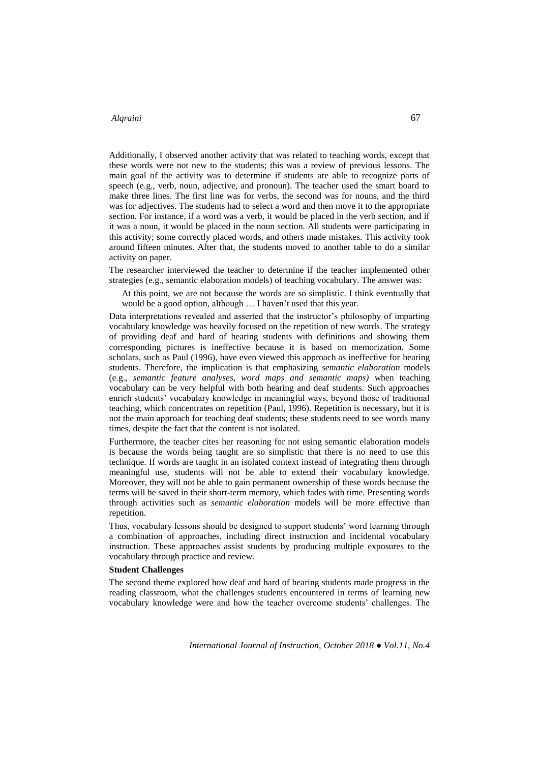Additionally, I observed another activity that was related to teaching words, except that these words were not new to the students; this was a review of previous lessons. The main goal of the activity was to determine if students are able to recognize parts of speech (e.g., verb, noun, adjective, and pronoun). The teacher used the smart board to make three lines. The first line was for verbs, the second was for nouns, and the third was for adjectives. The students had to select a word and then move it to the appropriate section. For instance, if a word was a verb, it would be placed in the verb section, and if it was a noun, it would be placed in the noun section. All students were participating in this activity; some correctly placed words, and others made mistakes. This activity took around fifteen minutes. After that, the students moved to another table to do a similar activity on paper.

The researcher interviewed the teacher to determine if the teacher implemented other strategies (e.g., semantic elaboration models) of teaching vocabulary. The answer was:

At this point, we are not because the words are so simplistic. I think eventually that would be a good option, although … I haven't used that this year.

Data interpretations revealed and asserted that the instructor's philosophy of imparting vocabulary knowledge was heavily focused on the repetition of new words. The strategy of providing deaf and hard of hearing students with definitions and showing them corresponding pictures is ineffective because it is based on memorization. Some scholars, such as Paul (1996), have even viewed this approach as ineffective for hearing students. Therefore, the implication is that emphasizing *semantic elaboration* models (e.g., *semantic feature analyses, word maps and semantic maps)* when teaching vocabulary can be very helpful with both hearing and deaf students. Such approaches enrich students' vocabulary knowledge in meaningful ways, beyond those of traditional teaching, which concentrates on repetition (Paul, 1996). Repetition is necessary, but it is not the main approach for teaching deaf students; these students need to see words many times, despite the fact that the content is not isolated.

Furthermore, the teacher cites her reasoning for not using semantic elaboration models is because the words being taught are so simplistic that there is no need to use this technique. If words are taught in an isolated context instead of integrating them through meaningful use, students will not be able to extend their vocabulary knowledge. Moreover, they will not be able to gain permanent ownership of these words because the terms will be saved in their short-term memory, which fades with time. Presenting words through activities such as *semantic elaboration* models will be more effective than repetition.

Thus, vocabulary lessons should be designed to support students' word learning through a combination of approaches, including direct instruction and incidental vocabulary instruction. These approaches assist students by producing multiple exposures to the vocabulary through practice and review.

# **Student Challenges**

The second theme explored how deaf and hard of hearing students made progress in the reading classroom, what the challenges students encountered in terms of learning new vocabulary knowledge were and how the teacher overcome students' challenges. The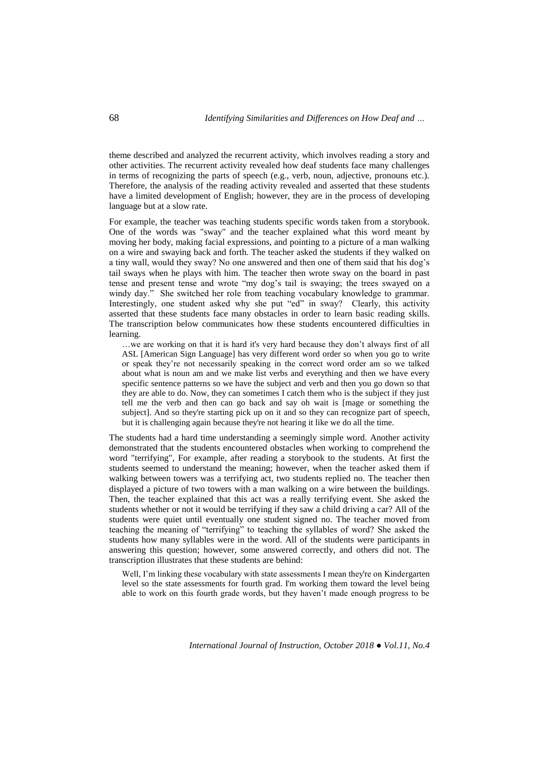theme described and analyzed the recurrent activity, which involves reading a story and other activities. The recurrent activity revealed how deaf students face many challenges in terms of recognizing the parts of speech (e.g., verb, noun, adjective, pronouns etc.). Therefore, the analysis of the reading activity revealed and asserted that these students have a limited development of English; however, they are in the process of developing language but at a slow rate.

For example, the teacher was teaching students specific words taken from a storybook. One of the words was "sway" and the teacher explained what this word meant by moving her body, making facial expressions, and pointing to a picture of a man walking on a wire and swaying back and forth. The teacher asked the students if they walked on a tiny wall, would they sway? No one answered and then one of them said that his dog's tail sways when he plays with him. The teacher then wrote sway on the board in past tense and present tense and wrote "my dog's tail is swaying; the trees swayed on a windy day." She switched her role from teaching vocabulary knowledge to grammar. Interestingly, one student asked why she put "ed" in sway? Clearly, this activity asserted that these students face many obstacles in order to learn basic reading skills. The transcription below communicates how these students encountered difficulties in learning.

…we are working on that it is hard it's very hard because they don't always first of all ASL [American Sign Language] has very different word order so when you go to write or speak they're not necessarily speaking in the correct word order am so we talked about what is noun am and we make list verbs and everything and then we have every specific sentence patterns so we have the subject and verb and then you go down so that they are able to do. Now, they can sometimes I catch them who is the subject if they just tell me the verb and then can go back and say oh wait is [mage or something the subject]. And so they're starting pick up on it and so they can recognize part of speech, but it is challenging again because they're not hearing it like we do all the time.

The students had a hard time understanding a seemingly simple word. Another activity demonstrated that the students encountered obstacles when working to comprehend the word "terrifying", For example, after reading a storybook to the students. At first the students seemed to understand the meaning; however, when the teacher asked them if walking between towers was a terrifying act, two students replied no. The teacher then displayed a picture of two towers with a man walking on a wire between the buildings. Then, the teacher explained that this act was a really terrifying event. She asked the students whether or not it would be terrifying if they saw a child driving a car? All of the students were quiet until eventually one student signed no. The teacher moved from teaching the meaning of "terrifying" to teaching the syllables of word? She asked the students how many syllables were in the word. All of the students were participants in answering this question; however, some answered correctly, and others did not. The transcription illustrates that these students are behind:

Well, I'm linking these vocabulary with state assessments I mean they're on Kindergarten level so the state assessments for fourth grad. I'm working them toward the level being able to work on this fourth grade words, but they haven't made enough progress to be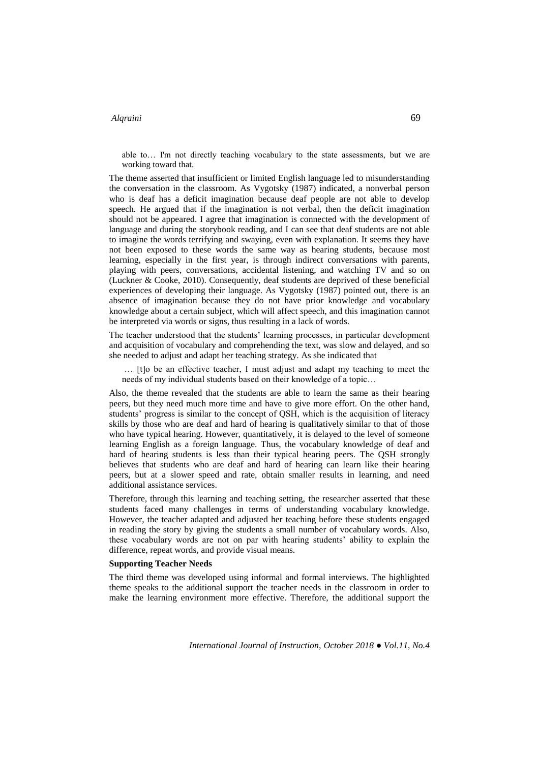able to… I'm not directly teaching vocabulary to the state assessments, but we are working toward that.

The theme asserted that insufficient or limited English language led to misunderstanding the conversation in the classroom. As Vygotsky (1987) indicated, a nonverbal person who is deaf has a deficit imagination because deaf people are not able to develop speech. He argued that if the imagination is not verbal, then the deficit imagination should not be appeared. I agree that imagination is connected with the development of language and during the storybook reading, and I can see that deaf students are not able to imagine the words terrifying and swaying, even with explanation. It seems they have not been exposed to these words the same way as hearing students, because most learning, especially in the first year, is through indirect conversations with parents, playing with peers, conversations, accidental listening, and watching TV and so on (Luckner & Cooke, 2010). Consequently, deaf students are deprived of these beneficial experiences of developing their language. As Vygotsky (1987) pointed out, there is an absence of imagination because they do not have prior knowledge and vocabulary knowledge about a certain subject, which will affect speech, and this imagination cannot be interpreted via words or signs, thus resulting in a lack of words.

The teacher understood that the students' learning processes, in particular development and acquisition of vocabulary and comprehending the text, was slow and delayed, and so she needed to adjust and adapt her teaching strategy. As she indicated that

… [t]o be an effective teacher, I must adjust and adapt my teaching to meet the needs of my individual students based on their knowledge of a topic…

Also, the theme revealed that the students are able to learn the same as their hearing peers, but they need much more time and have to give more effort. On the other hand, students' progress is similar to the concept of QSH, which is the acquisition of literacy skills by those who are deaf and hard of hearing is qualitatively similar to that of those who have typical hearing. However, quantitatively, it is delayed to the level of someone learning English as a foreign language. Thus, the vocabulary knowledge of deaf and hard of hearing students is less than their typical hearing peers. The QSH strongly believes that students who are deaf and hard of hearing can learn like their hearing peers, but at a slower speed and rate, obtain smaller results in learning, and need additional assistance services.

Therefore, through this learning and teaching setting, the researcher asserted that these students faced many challenges in terms of understanding vocabulary knowledge. However, the teacher adapted and adjusted her teaching before these students engaged in reading the story by giving the students a small number of vocabulary words. Also, these vocabulary words are not on par with hearing students' ability to explain the difference, repeat words, and provide visual means.

### **Supporting Teacher Needs**

The third theme was developed using informal and formal interviews. The highlighted theme speaks to the additional support the teacher needs in the classroom in order to make the learning environment more effective. Therefore, the additional support the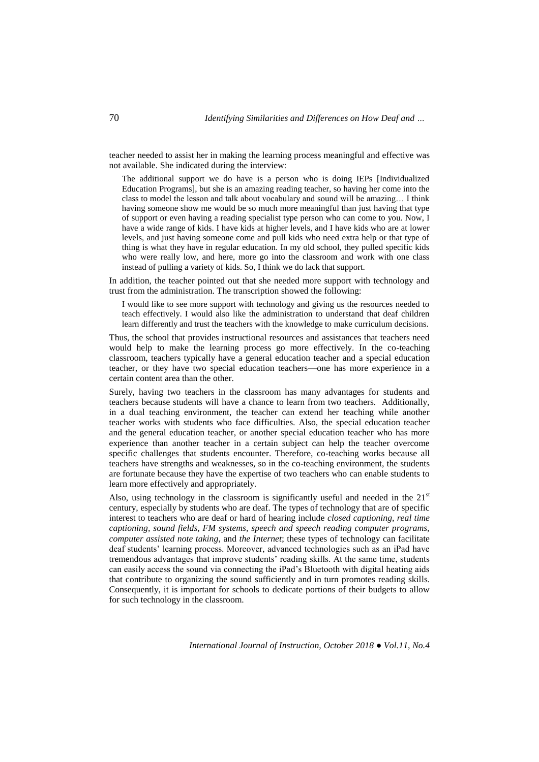teacher needed to assist her in making the learning process meaningful and effective was not available. She indicated during the interview:

The additional support we do have is a person who is doing IEPs [Individualized Education Programs], but she is an amazing reading teacher, so having her come into the class to model the lesson and talk about vocabulary and sound will be amazing… I think having someone show me would be so much more meaningful than just having that type of support or even having a reading specialist type person who can come to you. Now, I have a wide range of kids. I have kids at higher levels, and I have kids who are at lower levels, and just having someone come and pull kids who need extra help or that type of thing is what they have in regular education. In my old school, they pulled specific kids who were really low, and here, more go into the classroom and work with one class instead of pulling a variety of kids. So, I think we do lack that support.

In addition, the teacher pointed out that she needed more support with technology and trust from the administration. The transcription showed the following:

I would like to see more support with technology and giving us the resources needed to teach effectively. I would also like the administration to understand that deaf children learn differently and trust the teachers with the knowledge to make curriculum decisions.

Thus, the school that provides instructional resources and assistances that teachers need would help to make the learning process go more effectively. In the co-teaching classroom, teachers typically have a general education teacher and a special education teacher, or they have two special education teachers—one has more experience in a certain content area than the other.

Surely, having two teachers in the classroom has many advantages for students and teachers because students will have a chance to learn from two teachers. Additionally, in a dual teaching environment, the teacher can extend her teaching while another teacher works with students who face difficulties. Also, the special education teacher and the general education teacher, or another special education teacher who has more experience than another teacher in a certain subject can help the teacher overcome specific challenges that students encounter. Therefore, co-teaching works because all teachers have strengths and weaknesses, so in the co-teaching environment, the students are fortunate because they have the expertise of two teachers who can enable students to learn more effectively and appropriately.

Also, using technology in the classroom is significantly useful and needed in the  $21<sup>st</sup>$ century, especially by students who are deaf. The types of technology that are of specific interest to teachers who are deaf or hard of hearing include *closed captioning, real time captioning, sound fields, FM systems, speech and speech reading computer programs, computer assisted note taking,* and *the Internet*; these types of technology can facilitate deaf students' learning process. Moreover, advanced technologies such as an iPad have tremendous advantages that improve students' reading skills. At the same time, students can easily access the sound via connecting the iPad's Bluetooth with digital heating aids that contribute to organizing the sound sufficiently and in turn promotes reading skills. Consequently, it is important for schools to dedicate portions of their budgets to allow for such technology in the classroom.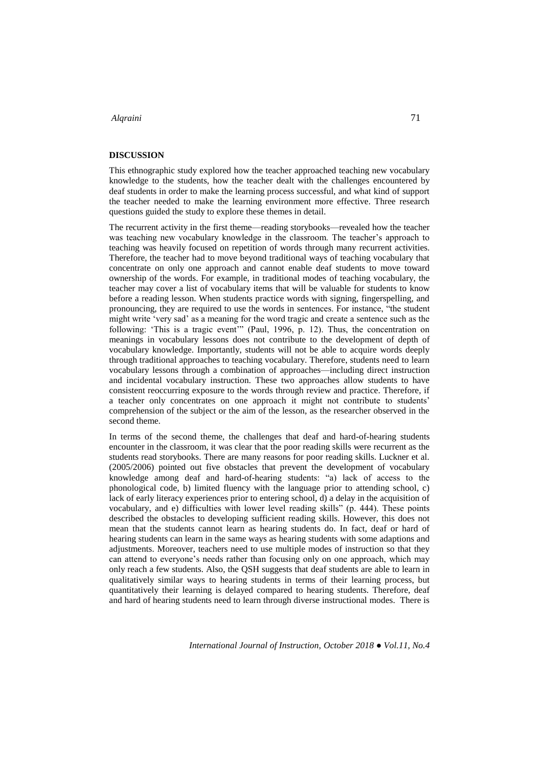### **DISCUSSION**

This ethnographic study explored how the teacher approached teaching new vocabulary knowledge to the students, how the teacher dealt with the challenges encountered by deaf students in order to make the learning process successful, and what kind of support the teacher needed to make the learning environment more effective. Three research questions guided the study to explore these themes in detail.

The recurrent activity in the first theme—reading storybooks—revealed how the teacher was teaching new vocabulary knowledge in the classroom. The teacher's approach to teaching was heavily focused on repetition of words through many recurrent activities. Therefore, the teacher had to move beyond traditional ways of teaching vocabulary that concentrate on only one approach and cannot enable deaf students to move toward ownership of the words. For example, in traditional modes of teaching vocabulary, the teacher may cover a list of vocabulary items that will be valuable for students to know before a reading lesson. When students practice words with signing, fingerspelling, and pronouncing, they are required to use the words in sentences. For instance, "the student might write 'very sad' as a meaning for the word tragic and create a sentence such as the following: 'This is a tragic event'" (Paul, 1996, p. 12). Thus, the concentration on meanings in vocabulary lessons does not contribute to the development of depth of vocabulary knowledge. Importantly, students will not be able to acquire words deeply through traditional approaches to teaching vocabulary. Therefore, students need to learn vocabulary lessons through a combination of approaches—including direct instruction and incidental vocabulary instruction. These two approaches allow students to have consistent reoccurring exposure to the words through review and practice. Therefore, if a teacher only concentrates on one approach it might not contribute to students' comprehension of the subject or the aim of the lesson, as the researcher observed in the second theme.

In terms of the second theme, the challenges that deaf and hard-of-hearing students encounter in the classroom, it was clear that the poor reading skills were recurrent as the students read storybooks. There are many reasons for poor reading skills. Luckner et al. (2005/2006) pointed out five obstacles that prevent the development of vocabulary knowledge among deaf and hard-of-hearing students: "a) lack of access to the phonological code, b) limited fluency with the language prior to attending school, c) lack of early literacy experiences prior to entering school, d) a delay in the acquisition of vocabulary, and e) difficulties with lower level reading skills" (p. 444). These points described the obstacles to developing sufficient reading skills. However, this does not mean that the students cannot learn as hearing students do. In fact, deaf or hard of hearing students can learn in the same ways as hearing students with some adaptions and adjustments. Moreover, teachers need to use multiple modes of instruction so that they can attend to everyone's needs rather than focusing only on one approach, which may only reach a few students. Also, the QSH suggests that deaf students are able to learn in qualitatively similar ways to hearing students in terms of their learning process, but quantitatively their learning is delayed compared to hearing students. Therefore, deaf and hard of hearing students need to learn through diverse instructional modes. There is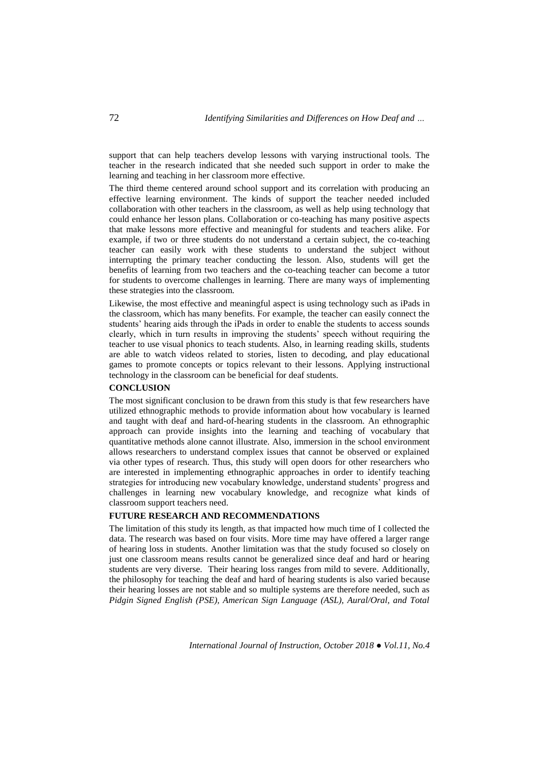support that can help teachers develop lessons with varying instructional tools. The teacher in the research indicated that she needed such support in order to make the learning and teaching in her classroom more effective.

The third theme centered around school support and its correlation with producing an effective learning environment. The kinds of support the teacher needed included collaboration with other teachers in the classroom, as well as help using technology that could enhance her lesson plans. Collaboration or co-teaching has many positive aspects that make lessons more effective and meaningful for students and teachers alike. For example, if two or three students do not understand a certain subject, the co-teaching teacher can easily work with these students to understand the subject without interrupting the primary teacher conducting the lesson. Also, students will get the benefits of learning from two teachers and the co-teaching teacher can become a tutor for students to overcome challenges in learning. There are many ways of implementing these strategies into the classroom.

Likewise, the most effective and meaningful aspect is using technology such as iPads in the classroom, which has many benefits. For example, the teacher can easily connect the students' hearing aids through the iPads in order to enable the students to access sounds clearly, which in turn results in improving the students' speech without requiring the teacher to use visual phonics to teach students. Also, in learning reading skills, students are able to watch videos related to stories, listen to decoding, and play educational games to promote concepts or topics relevant to their lessons. Applying instructional technology in the classroom can be beneficial for deaf students.

# **CONCLUSION**

The most significant conclusion to be drawn from this study is that few researchers have utilized ethnographic methods to provide information about how vocabulary is learned and taught with deaf and hard-of-hearing students in the classroom. An ethnographic approach can provide insights into the learning and teaching of vocabulary that quantitative methods alone cannot illustrate. Also, immersion in the school environment allows researchers to understand complex issues that cannot be observed or explained via other types of research. Thus, this study will open doors for other researchers who are interested in implementing ethnographic approaches in order to identify teaching strategies for introducing new vocabulary knowledge, understand students' progress and challenges in learning new vocabulary knowledge, and recognize what kinds of classroom support teachers need.

### **FUTURE RESEARCH AND RECOMMENDATIONS**

The limitation of this study its length, as that impacted how much time of I collected the data. The research was based on four visits. More time may have offered a larger range of hearing loss in students. Another limitation was that the study focused so closely on just one classroom means results cannot be generalized since deaf and hard or hearing students are very diverse. Their hearing loss ranges from mild to severe. Additionally, the philosophy for teaching the deaf and hard of hearing students is also varied because their hearing losses are not stable and so multiple systems are therefore needed, such as *Pidgin Signed English (PSE), American Sign Language (ASL), Aural/Oral, and Total*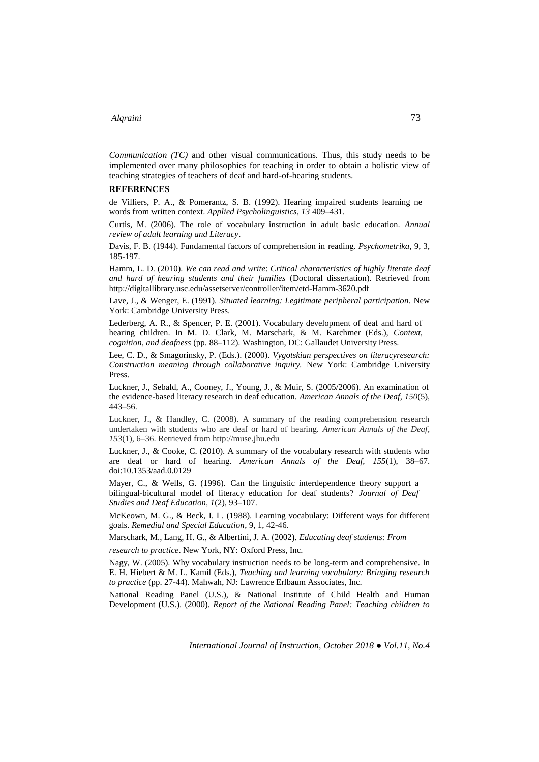*Communication (TC)* and other visual communications. Thus, this study needs to be implemented over many philosophies for teaching in order to obtain a holistic view of teaching strategies of teachers of deaf and hard-of-hearing students.

#### **REFERENCES**

de Villiers, P. A., & Pomerantz, S. B. (1992). Hearing impaired students learning ne words from written context. *Applied Psycholinguistics, 13* 409–431.

Curtis, M. (2006). The role of vocabulary instruction in adult basic education. *Annual review of adult learning and Literacy*.

Davis, F. B. (1944). Fundamental factors of comprehension in reading. *Psychometrika*, 9, 3, 185-197.

Hamm, L. D. (2010). *We can read and write*: *Critical characteristics of highly literate deaf and hard of hearing students and their families* (Doctoral dissertation). Retrieved from http://digitallibrary.usc.edu/assetserver/controller/item/etd-Hamm-3620.pdf

Lave, J., & Wenger, E. (1991). *Situated learning: Legitimate peripheral participation.* New York: Cambridge University Press.

Lederberg, A. R., & Spencer, P. E. (2001). Vocabulary development of deaf and hard of hearing children. In M. D. Clark, M. Marschark, & M. Karchmer (Eds.), *Context, cognition, and deafness* (pp. 88–112). Washington, DC: Gallaudet University Press.

Lee, C. D., & Smagorinsky, P. (Eds.). (2000). *Vygotskian perspectives on literacyresearch: Construction meaning through collaborative inquiry.* New York: Cambridge University Press.

Luckner, J., Sebald, A., Cooney, J., Young, J., & Muir, S. (2005/2006). An examination of the evidence-based literacy research in deaf education. *American Annals of the Deaf, 150*(5), 443–56.

Luckner, J., & Handley, C. (2008). A summary of the reading comprehension research undertaken with students who are deaf or hard of hearing. *American Annals of the Deaf, 153*(1), 6–36. Retrieved from http://muse.jhu.edu

Luckner, J., & Cooke, C. (2010). A summary of the vocabulary research with students who are deaf or hard of hearing. *American Annals of the Deaf, 155*(1), 38–67. doi:10.1353/aad.0.0129

Mayer, C., & Wells, G. (1996). Can the linguistic interdependence theory support a bilingual-bicultural model of literacy education for deaf students? *Journal of Deaf Studies and Deaf Education, 1*(2), 93–107.

McKeown, M. G., & Beck, I. L. (1988). Learning vocabulary: Different ways for different goals. *Remedial and Special Education*, 9, 1, 42-46.

Marschark, M., Lang, H. G., & Albertini, J. A. (2002). *Educating deaf students: From* 

*research to practice*. New York, NY: Oxford Press, Inc.

Nagy, W. (2005). Why vocabulary instruction needs to be long-term and comprehensive. In E. H. Hiebert & M. L. Kamil (Eds.), *Teaching and learning vocabulary: Bringing research to practice* (pp. 27-44). Mahwah, NJ: Lawrence Erlbaum Associates, Inc.

National Reading Panel (U.S.), & National Institute of Child Health and Human Development (U.S.). (2000). *Report of the National Reading Panel: Teaching children to*